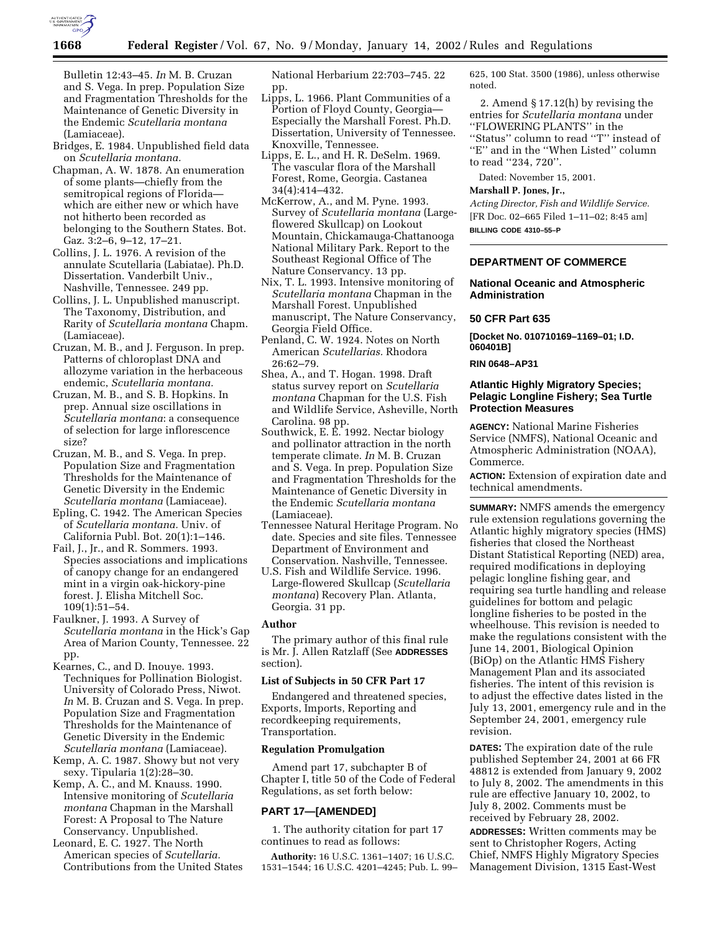

Bulletin 12:43–45. *In* M. B. Cruzan and S. Vega. In prep. Population Size and Fragmentation Thresholds for the Maintenance of Genetic Diversity in the Endemic *Scutellaria montana* (Lamiaceae).

- Bridges, E. 1984. Unpublished field data on *Scutellaria montana.*
- Chapman, A. W. 1878. An enumeration of some plants—chiefly from the semitropical regions of Florida which are either new or which have not hitherto been recorded as belonging to the Southern States. Bot. Gaz. 3:2–6, 9–12, 17–21.
- Collins, J. L. 1976. A revision of the annulate Scutellaria (Labiatae). Ph.D. Dissertation. Vanderbilt Univ., Nashville, Tennessee. 249 pp.
- Collins, J. L. Unpublished manuscript. The Taxonomy, Distribution, and Rarity of *Scutellaria montana* Chapm. (Lamiaceae).
- Cruzan, M. B., and J. Ferguson. In prep. Patterns of chloroplast DNA and allozyme variation in the herbaceous endemic, *Scutellaria montana.*
- Cruzan, M. B., and S. B. Hopkins. In prep. Annual size oscillations in *Scutellaria montana*: a consequence of selection for large inflorescence size?
- Cruzan, M. B., and S. Vega. In prep. Population Size and Fragmentation Thresholds for the Maintenance of Genetic Diversity in the Endemic *Scutellaria montana* (Lamiaceae).
- Epling, C. 1942. The American Species of *Scutellaria montana.* Univ. of California Publ. Bot. 20(1):1–146.
- Fail, J., Jr., and R. Sommers. 1993. Species associations and implications of canopy change for an endangered mint in a virgin oak-hickory-pine forest. J. Elisha Mitchell Soc. 109(1):51–54.
- Faulkner, J. 1993. A Survey of *Scutellaria montana* in the Hick's Gap Area of Marion County, Tennessee. 22 pp.
- Kearnes, C., and D. Inouye. 1993. Techniques for Pollination Biologist. University of Colorado Press, Niwot. *In* M. B. Cruzan and S. Vega. In prep. Population Size and Fragmentation Thresholds for the Maintenance of Genetic Diversity in the Endemic *Scutellaria montana* (Lamiaceae).
- Kemp, A. C. 1987. Showy but not very sexy. Tipularia 1(2):28–30.
- Kemp, A. C., and M. Knauss. 1990. Intensive monitoring of *Scutellaria montana* Chapman in the Marshall Forest: A Proposal to The Nature Conservancy. Unpublished.
- Leonard, E. C. 1927. The North American species of *Scutellaria.* Contributions from the United States

National Herbarium 22:703–745. 22 pp.

- Lipps, L. 1966. Plant Communities of a Portion of Floyd County, Georgia— Especially the Marshall Forest. Ph.D. Dissertation, University of Tennessee. Knoxville, Tennessee.
- Lipps, E. L., and H. R. DeSelm. 1969. The vascular flora of the Marshall Forest, Rome, Georgia. Castanea 34(4):414–432.
- McKerrow, A., and M. Pyne. 1993. Survey of *Scutellaria montana* (Largeflowered Skullcap) on Lookout Mountain, Chickamauga-Chattanooga National Military Park. Report to the Southeast Regional Office of The Nature Conservancy. 13 pp.
- Nix, T. L. 1993. Intensive monitoring of *Scutellaria montana* Chapman in the Marshall Forest. Unpublished manuscript, The Nature Conservancy, Georgia Field Office.
- Penland, C. W. 1924. Notes on North American *Scutellarias.* Rhodora 26:62–79.
- Shea, A., and T. Hogan. 1998. Draft status survey report on *Scutellaria montana* Chapman for the U.S. Fish and Wildlife Service, Asheville, North Carolina. 98 pp.
- Southwick, E. E. 1992. Nectar biology and pollinator attraction in the north temperate climate. *In* M. B. Cruzan and S. Vega. In prep. Population Size and Fragmentation Thresholds for the Maintenance of Genetic Diversity in the Endemic *Scutellaria montana* (Lamiaceae).
- Tennessee Natural Heritage Program. No date. Species and site files. Tennessee Department of Environment and Conservation. Nashville, Tennessee.
- U.S. Fish and Wildlife Service. 1996. Large-flowered Skullcap (*Scutellaria montana*) Recovery Plan. Atlanta, Georgia. 31 pp.

### **Author**

The primary author of this final rule is Mr. J. Allen Ratzlaff (See **ADDRESSES** section).

## **List of Subjects in 50 CFR Part 17**

Endangered and threatened species, Exports, Imports, Reporting and recordkeeping requirements, Transportation.

### **Regulation Promulgation**

Amend part 17, subchapter B of Chapter I, title 50 of the Code of Federal Regulations, as set forth below:

### **PART 17—[AMENDED]**

1. The authority citation for part 17 continues to read as follows:

**Authority:** 16 U.S.C. 1361–1407; 16 U.S.C. 1531–1544; 16 U.S.C. 4201–4245; Pub. L. 99–

625, 100 Stat. 3500 (1986), unless otherwise noted.

2. Amend § 17.12(h) by revising the entries for *Scutellaria montana* under ''FLOWERING PLANTS'' in the ''Status'' column to read ''T'' instead of "E" and in the "When Listed" column to read ''234, 720''.

Dated: November 15, 2001.

## **Marshall P. Jones, Jr.,**

*Acting Director, Fish and Wildlife Service.* [FR Doc. 02–665 Filed 1–11–02; 8:45 am] **BILLING CODE 4310–55–P**

# **DEPARTMENT OF COMMERCE**

# **National Oceanic and Atmospheric Administration**

#### **50 CFR Part 635**

**[Docket No. 010710169–1169–01; I.D. 060401B]**

### **RIN 0648–AP31**

## **Atlantic Highly Migratory Species; Pelagic Longline Fishery; Sea Turtle Protection Measures**

**AGENCY:** National Marine Fisheries Service (NMFS), National Oceanic and Atmospheric Administration (NOAA), Commerce.

**ACTION:** Extension of expiration date and technical amendments.

**SUMMARY:** NMFS amends the emergency rule extension regulations governing the Atlantic highly migratory species (HMS) fisheries that closed the Northeast Distant Statistical Reporting (NED) area, required modifications in deploying pelagic longline fishing gear, and requiring sea turtle handling and release guidelines for bottom and pelagic longline fisheries to be posted in the wheelhouse. This revision is needed to make the regulations consistent with the June 14, 2001, Biological Opinion (BiOp) on the Atlantic HMS Fishery Management Plan and its associated fisheries. The intent of this revision is to adjust the effective dates listed in the July 13, 2001, emergency rule and in the September 24, 2001, emergency rule revision.

**DATES:** The expiration date of the rule published September 24, 2001 at 66 FR 48812 is extended from January 9, 2002 to July 8, 2002. The amendments in this rule are effective January 10, 2002, to July 8, 2002. Comments must be received by February 28, 2002.

**ADDRESSES:** Written comments may be sent to Christopher Rogers, Acting Chief, NMFS Highly Migratory Species Management Division, 1315 East-West